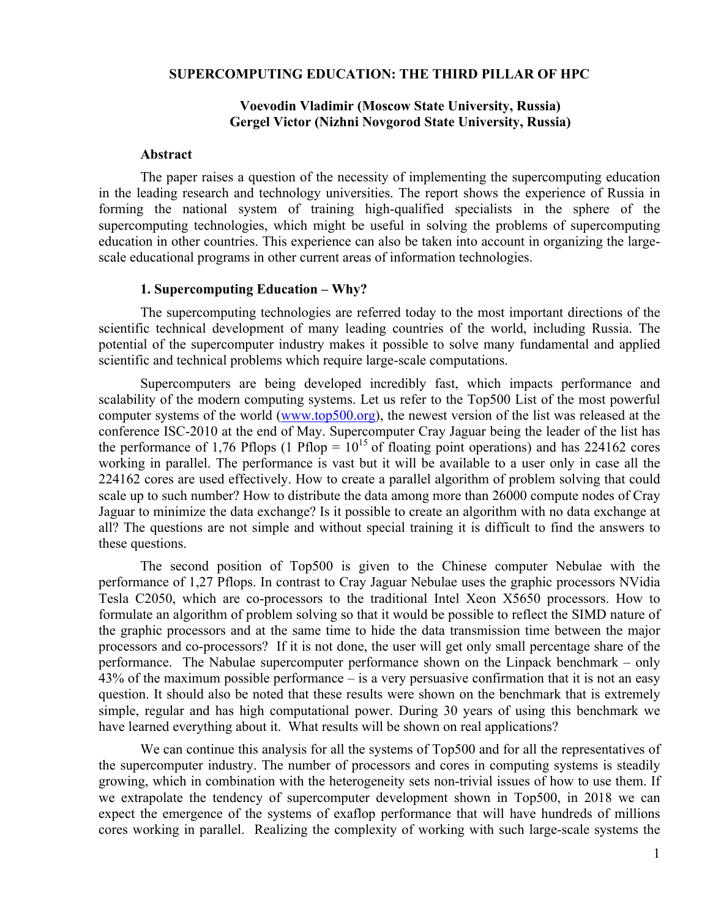#### **SUPERCOMPUTING EDUCATION: THE THIRD PILLAR OF HPC**

## **Voevodin Vladimir (Moscow State University, Russia) Gergel Victor (Nizhni Novgorod State University, Russia)**

#### **Abstract**

The paper raises a question of the necessity of implementing the supercomputing education in the leading research and technology universities. The report shows the experience of Russia in forming the national system of training high-qualified specialists in the sphere of the supercomputing technologies, which might be useful in solving the problems of supercomputing education in other countries. This experience can also be taken into account in organizing the largescale educational programs in other current areas of information technologies.

## **1. Supercomputing Education – Why?**

The supercomputing technologies are referred today to the most important directions of the scientific technical development of many leading countries of the world, including Russia. The potential of the supercomputer industry makes it possible to solve many fundamental and applied scientific and technical problems which require large-scale computations.

Supercomputers are being developed incredibly fast, which impacts performance and scalability of the modern computing systems. Let us refer to the Top500 List of the most powerful computer systems of the world (www.top500.org), the newest version of the list was released at the conference ISC-2010 at the end of May. Supercomputer Cray Jaguar being the leader of the list has the performance of 1,76 Pflops (1 Pflop =  $10^{15}$  of floating point operations) and has 224162 cores working in parallel. The performance is vast but it will be available to a user only in case all the 224162 cores are used effectively. How to create a parallel algorithm of problem solving that could scale up to such number? How to distribute the data among more than 26000 compute nodes of Cray Jaguar to minimize the data exchange? Is it possible to create an algorithm with no data exchange at all? The questions are not simple and without special training it is difficult to find the answers to these questions.

The second position of Top500 is given to the Chinese computer Nebulae with the performance of 1,27 Pflops. In contrast to Cray Jaguar Nebulae uses the graphic processors NVidia Tesla C2050, which are co-processors to the traditional Intel Xeon X5650 processors. How to formulate an algorithm of problem solving so that it would be possible to reflect the SIMD nature of the graphic processors and at the same time to hide the data transmission time between the major processors and co-processors? If it is not done, the user will get only small percentage share of the performance. The Nabulae supercomputer performance shown on the Linpack benchmark – only 43% of the maximum possible performance – is a very persuasive confirmation that it is not an easy question. It should also be noted that these results were shown on the benchmark that is extremely simple, regular and has high computational power. During 30 years of using this benchmark we have learned everything about it. What results will be shown on real applications?

We can continue this analysis for all the systems of Top500 and for all the representatives of the supercomputer industry. The number of processors and cores in computing systems is steadily growing, which in combination with the heterogeneity sets non-trivial issues of how to use them. If we extrapolate the tendency of supercomputer development shown in Top500, in 2018 we can expect the emergence of the systems of exaflop performance that will have hundreds of millions cores working in parallel. Realizing the complexity of working with such large-scale systems the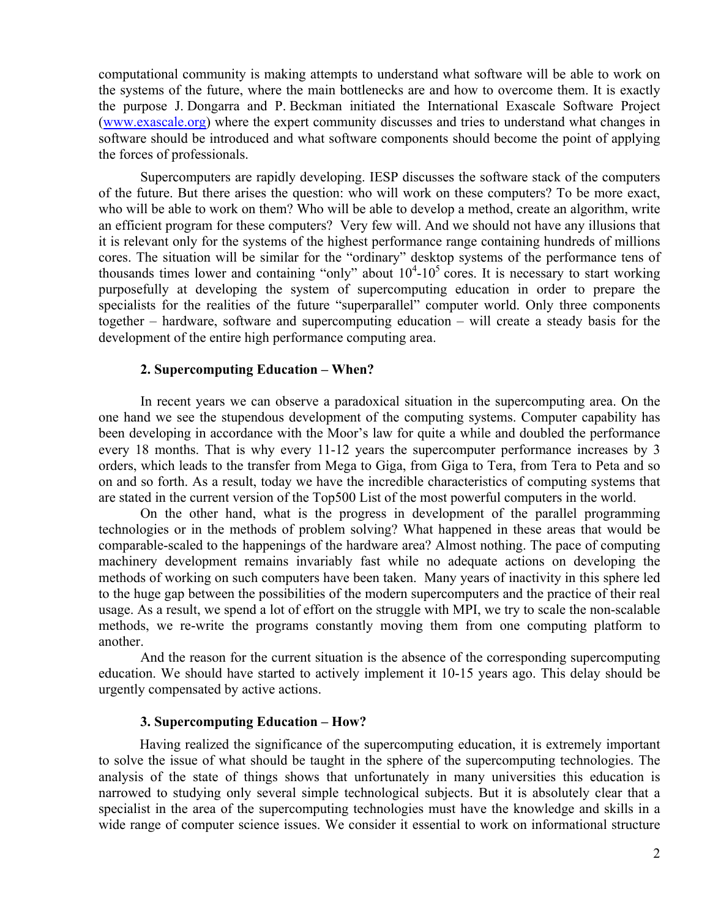computational community is making attempts to understand what software will be able to work on the systems of the future, where the main bottlenecks are and how to overcome them. It is exactly the purpose J. Dongarra and P. Beckman initiated the International Exascale Software Project (www.exascale.org) where the expert community discusses and tries to understand what changes in software should be introduced and what software components should become the point of applying the forces of professionals.

Supercomputers are rapidly developing. IESP discusses the software stack of the computers of the future. But there arises the question: who will work on these computers? To be more exact, who will be able to work on them? Who will be able to develop a method, create an algorithm, write an efficient program for these computers? Very few will. And we should not have any illusions that it is relevant only for the systems of the highest performance range containing hundreds of millions cores. The situation will be similar for the "ordinary" desktop systems of the performance tens of thousands times lower and containing "only" about  $10^4$ - $10^5$  cores. It is necessary to start working purposefully at developing the system of supercomputing education in order to prepare the specialists for the realities of the future "superparallel" computer world. Only three components together – hardware, software and supercomputing education – will create a steady basis for the development of the entire high performance computing area.

### **2. Supercomputing Education – When?**

In recent years we can observe a paradoxical situation in the supercomputing area. On the one hand we see the stupendous development of the computing systems. Computer capability has been developing in accordance with the Moor's law for quite a while and doubled the performance every 18 months. That is why every 11-12 years the supercomputer performance increases by 3 orders, which leads to the transfer from Mega to Giga, from Giga to Tera, from Tera to Peta and so on and so forth. As a result, today we have the incredible characteristics of computing systems that are stated in the current version of the Top500 List of the most powerful computers in the world.

On the other hand, what is the progress in development of the parallel programming technologies or in the methods of problem solving? What happened in these areas that would be comparable-scaled to the happenings of the hardware area? Almost nothing. The pace of computing machinery development remains invariably fast while no adequate actions on developing the methods of working on such computers have been taken. Many years of inactivity in this sphere led to the huge gap between the possibilities of the modern supercomputers and the practice of their real usage. As a result, we spend a lot of effort on the struggle with MPI, we try to scale the non-scalable methods, we re-write the programs constantly moving them from one computing platform to another.

And the reason for the current situation is the absence of the corresponding supercomputing education. We should have started to actively implement it 10-15 years ago. This delay should be urgently compensated by active actions.

### **3. Supercomputing Education – How?**

Having realized the significance of the supercomputing education, it is extremely important to solve the issue of what should be taught in the sphere of the supercomputing technologies. The analysis of the state of things shows that unfortunately in many universities this education is narrowed to studying only several simple technological subjects. But it is absolutely clear that a specialist in the area of the supercomputing technologies must have the knowledge and skills in a wide range of computer science issues. We consider it essential to work on informational structure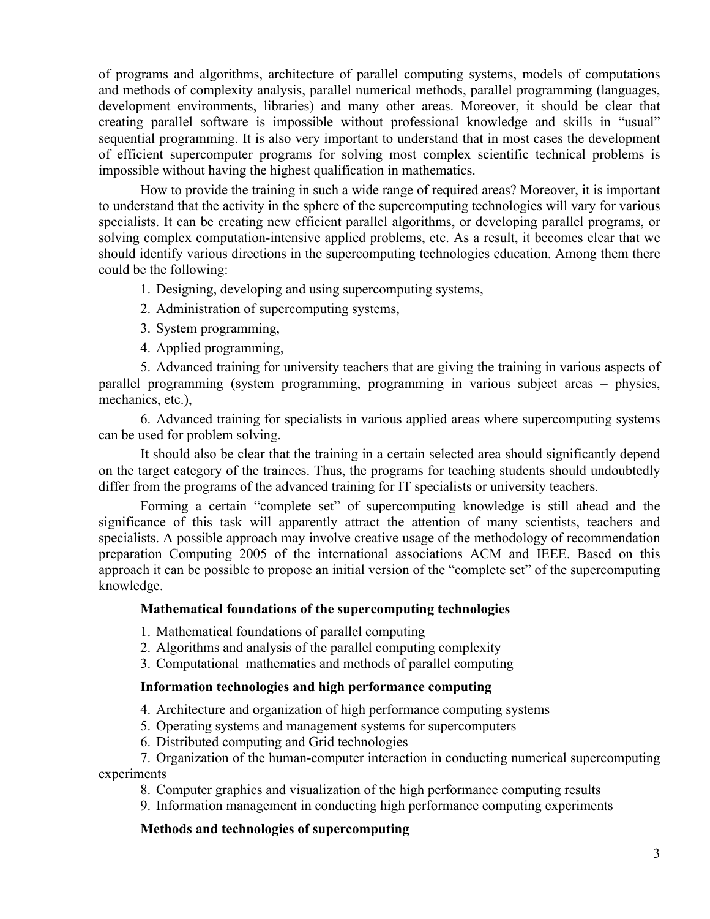of programs and algorithms, architecture of parallel computing systems, models of computations and methods of complexity analysis, parallel numerical methods, parallel programming (languages, development environments, libraries) and many other areas. Moreover, it should be clear that creating parallel software is impossible without professional knowledge and skills in "usual" sequential programming. It is also very important to understand that in most cases the development of efficient supercomputer programs for solving most complex scientific technical problems is impossible without having the highest qualification in mathematics.

How to provide the training in such a wide range of required areas? Moreover, it is important to understand that the activity in the sphere of the supercomputing technologies will vary for various specialists. It can be creating new efficient parallel algorithms, or developing parallel programs, or solving complex computation-intensive applied problems, etc. As a result, it becomes clear that we should identify various directions in the supercomputing technologies education. Among them there could be the following:

1. Designing, developing and using supercomputing systems,

- 2. Administration of supercomputing systems,
- 3. System programming,
- 4. Applied programming,

5. Advanced training for university teachers that are giving the training in various aspects of parallel programming (system programming, programming in various subject areas – physics, mechanics, etc.),

6. Advanced training for specialists in various applied areas where supercomputing systems can be used for problem solving.

It should also be clear that the training in a certain selected area should significantly depend on the target category of the trainees. Thus, the programs for teaching students should undoubtedly differ from the programs of the advanced training for IT specialists or university teachers.

Forming a certain "complete set" of supercomputing knowledge is still ahead and the significance of this task will apparently attract the attention of many scientists, teachers and specialists. A possible approach may involve creative usage of the methodology of recommendation preparation Computing 2005 of the international associations ACM and IEEE. Based on this approach it can be possible to propose an initial version of the "complete set" of the supercomputing knowledge.

# **Mathematical foundations of the supercomputing technologies**

1. Mathematical foundations of parallel computing

- 2. Algorithms and analysis of the parallel computing complexity
- 3. Computational mathematics and methods of parallel computing

## **Information technologies and high performance computing**

4. Architecture and organization of high performance computing systems

5. Operating systems and management systems for supercomputers

6. Distributed computing and Grid technologies

7. Organization of the human-computer interaction in conducting numerical supercomputing experiments

8. Computer graphics and visualization of the high performance computing results

9. Information management in conducting high performance computing experiments

# **Methods and technologies of supercomputing**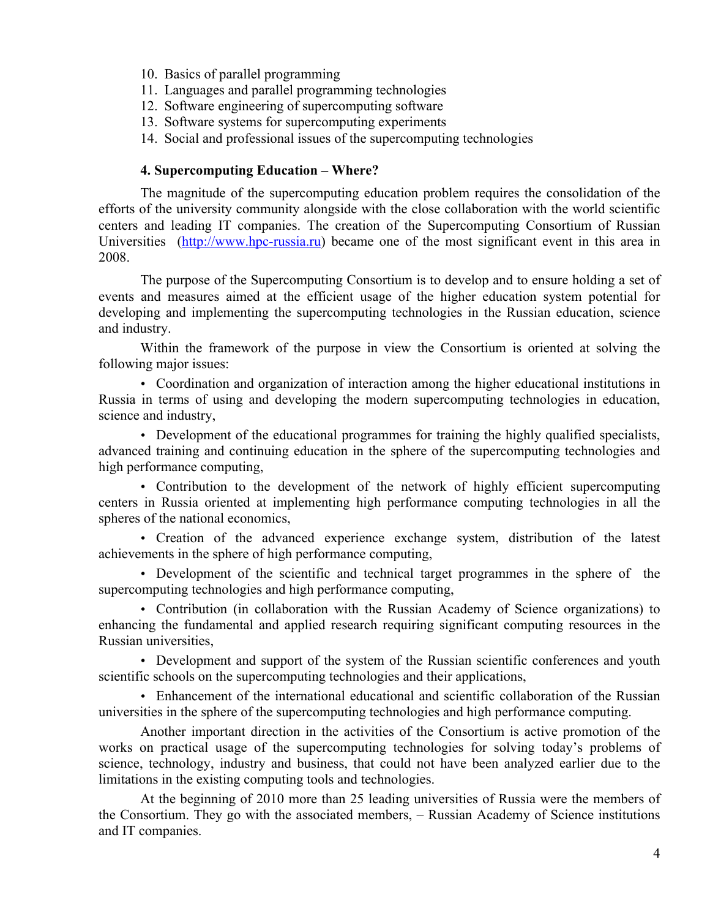- 10. Basics of parallel programming
- 11. Languages and parallel programming technologies
- 12. Software engineering of supercomputing software
- 13. Software systems for supercomputing experiments
- 14. Social and professional issues of the supercomputing technologies

### **4. Supercomputing Education – Where?**

The magnitude of the supercomputing education problem requires the consolidation of the efforts of the university community alongside with the close collaboration with the world scientific centers and leading IT companies. The creation of the Supercomputing Consortium of Russian Universities (http://www.hpc-russia.ru) became one of the most significant event in this area in 2008.

The purpose of the Supercomputing Consortium is to develop and to ensure holding a set of events and measures aimed at the efficient usage of the higher education system potential for developing and implementing the supercomputing technologies in the Russian education, science and industry.

Within the framework of the purpose in view the Consortium is oriented at solving the following major issues:

• Coordination and organization of interaction among the higher educational institutions in Russia in terms of using and developing the modern supercomputing technologies in education, science and industry,

• Development of the educational programmes for training the highly qualified specialists, advanced training and continuing education in the sphere of the supercomputing technologies and high performance computing,

• Contribution to the development of the network of highly efficient supercomputing centers in Russia oriented at implementing high performance computing technologies in all the spheres of the national economics,

• Creation of the advanced experience exchange system, distribution of the latest achievements in the sphere of high performance computing,

• Development of the scientific and technical target programmes in the sphere of the supercomputing technologies and high performance computing,

• Contribution (in collaboration with the Russian Academy of Science organizations) to enhancing the fundamental and applied research requiring significant computing resources in the Russian universities,

• Development and support of the system of the Russian scientific conferences and youth scientific schools on the supercomputing technologies and their applications,

• Enhancement of the international educational and scientific collaboration of the Russian universities in the sphere of the supercomputing technologies and high performance computing.

Another important direction in the activities of the Consortium is active promotion of the works on practical usage of the supercomputing technologies for solving today's problems of science, technology, industry and business, that could not have been analyzed earlier due to the limitations in the existing computing tools and technologies.

At the beginning of 2010 more than 25 leading universities of Russia were the members of the Consortium. They go with the associated members, – Russian Academy of Science institutions and IT companies.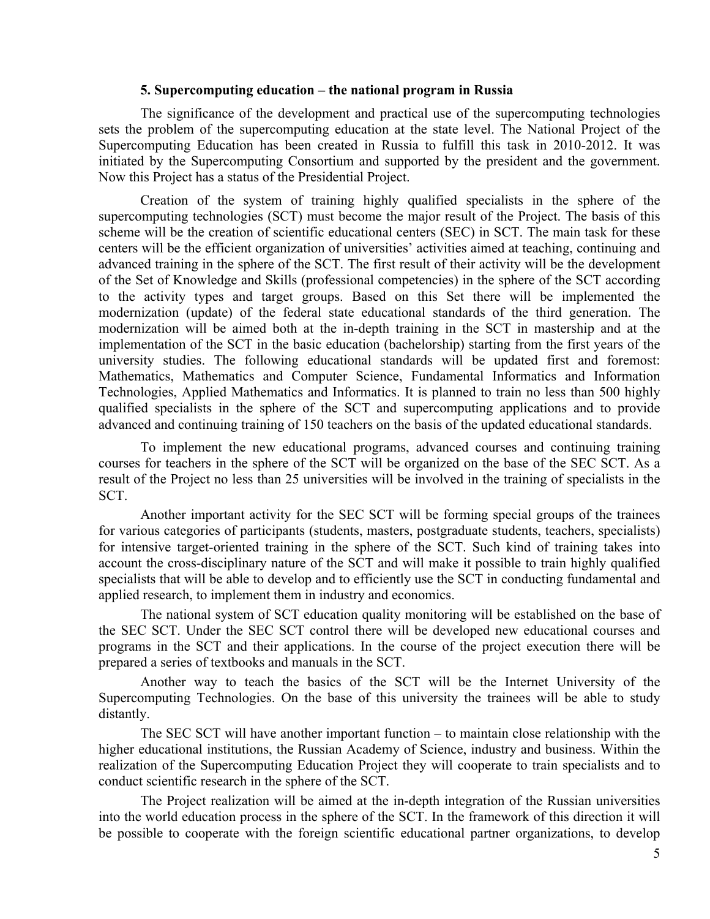### **5. Supercomputing education – the national program in Russia**

The significance of the development and practical use of the supercomputing technologies sets the problem of the supercomputing education at the state level. The National Project of the Supercomputing Education has been created in Russia to fulfill this task in 2010-2012. It was initiated by the Supercomputing Consortium and supported by the president and the government. Now this Project has a status of the Presidential Project.

Creation of the system of training highly qualified specialists in the sphere of the supercomputing technologies (SCT) must become the major result of the Project. The basis of this scheme will be the creation of scientific educational centers (SEC) in SCT. The main task for these centers will be the efficient organization of universities' activities aimed at teaching, continuing and advanced training in the sphere of the SCT. The first result of their activity will be the development of the Set of Knowledge and Skills (professional competencies) in the sphere of the SCT according to the activity types and target groups. Based on this Set there will be implemented the modernization (update) of the federal state educational standards of the third generation. The modernization will be aimed both at the in-depth training in the SCT in mastership and at the implementation of the SCT in the basic education (bachelorship) starting from the first years of the university studies. The following educational standards will be updated first and foremost: Mathematics, Mathematics and Computer Science, Fundamental Informatics and Information Technologies, Applied Mathematics and Informatics. It is planned to train no less than 500 highly qualified specialists in the sphere of the SCT and supercomputing applications and to provide advanced and continuing training of 150 teachers on the basis of the updated educational standards.

To implement the new educational programs, advanced courses and continuing training courses for teachers in the sphere of the SCT will be organized on the base of the SEC SCT. As a result of the Project no less than 25 universities will be involved in the training of specialists in the SCT.

Another important activity for the SEC SCT will be forming special groups of the trainees for various categories of participants (students, masters, postgraduate students, teachers, specialists) for intensive target-oriented training in the sphere of the SCT. Such kind of training takes into account the cross-disciplinary nature of the SCT and will make it possible to train highly qualified specialists that will be able to develop and to efficiently use the SCT in conducting fundamental and applied research, to implement them in industry and economics.

The national system of SCT education quality monitoring will be established on the base of the SEC SCT. Under the SEC SCT control there will be developed new educational courses and programs in the SCT and their applications. In the course of the project execution there will be prepared a series of textbooks and manuals in the SCT.

Another way to teach the basics of the SCT will be the Internet University of the Supercomputing Technologies. On the base of this university the trainees will be able to study distantly.

The SEC SCT will have another important function – to maintain close relationship with the higher educational institutions, the Russian Academy of Science, industry and business. Within the realization of the Supercomputing Education Project they will cooperate to train specialists and to conduct scientific research in the sphere of the SCT.

The Project realization will be aimed at the in-depth integration of the Russian universities into the world education process in the sphere of the SCT. In the framework of this direction it will be possible to cooperate with the foreign scientific educational partner organizations, to develop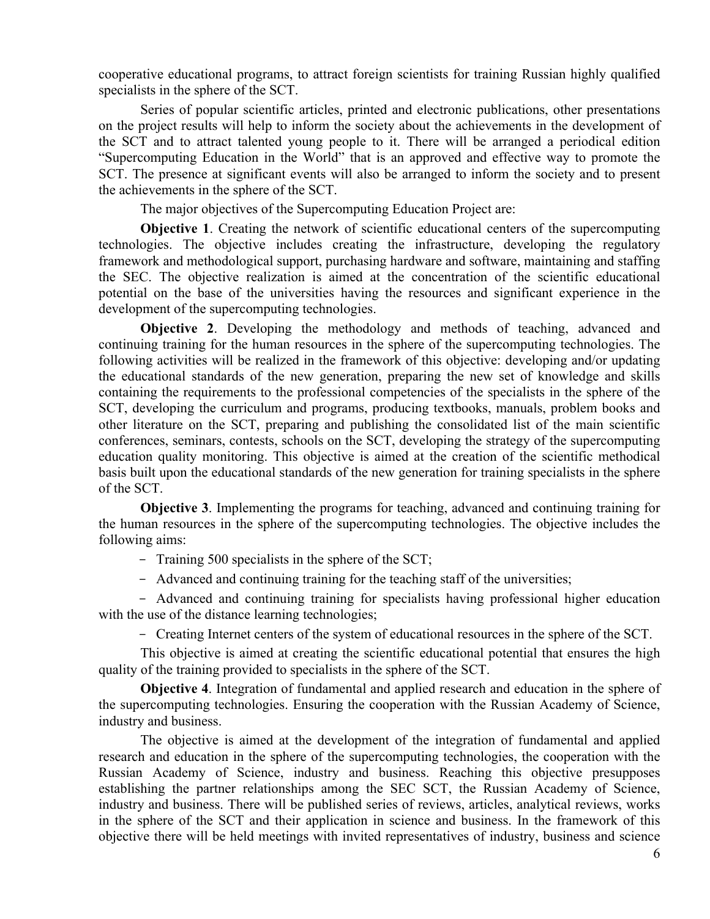cooperative educational programs, to attract foreign scientists for training Russian highly qualified specialists in the sphere of the SCT.

Series of popular scientific articles, printed and electronic publications, other presentations on the project results will help to inform the society about the achievements in the development of the SCT and to attract talented young people to it. There will be arranged a periodical edition "Supercomputing Education in the World" that is an approved and effective way to promote the SCT. The presence at significant events will also be arranged to inform the society and to present the achievements in the sphere of the SCT.

The major objectives of the Supercomputing Education Project are:

**Objective** 1. Creating the network of scientific educational centers of the supercomputing technologies. The objective includes creating the infrastructure, developing the regulatory framework and methodological support, purchasing hardware and software, maintaining and staffing the SEC. The objective realization is aimed at the concentration of the scientific educational potential on the base of the universities having the resources and significant experience in the development of the supercomputing technologies.

**Objective 2**. Developing the methodology and methods of teaching, advanced and continuing training for the human resources in the sphere of the supercomputing technologies. The following activities will be realized in the framework of this objective: developing and/or updating the educational standards of the new generation, preparing the new set of knowledge and skills containing the requirements to the professional competencies of the specialists in the sphere of the SCT, developing the curriculum and programs, producing textbooks, manuals, problem books and other literature on the SCT, preparing and publishing the consolidated list of the main scientific conferences, seminars, contests, schools on the SCT, developing the strategy of the supercomputing education quality monitoring. This objective is aimed at the creation of the scientific methodical basis built upon the educational standards of the new generation for training specialists in the sphere of the SCT.

**Objective 3**. Implementing the programs for teaching, advanced and continuing training for the human resources in the sphere of the supercomputing technologies. The objective includes the following aims:

- Training 500 specialists in the sphere of the SCT;

- Advanced and continuing training for the teaching staff of the universities;

- Advanced and continuing training for specialists having professional higher education with the use of the distance learning technologies;

- Creating Internet centers of the system of educational resources in the sphere of the SCT.

This objective is aimed at creating the scientific educational potential that ensures the high quality of the training provided to specialists in the sphere of the SCT.

**Objective 4**. Integration of fundamental and applied research and education in the sphere of the supercomputing technologies. Ensuring the cooperation with the Russian Academy of Science, industry and business.

The objective is aimed at the development of the integration of fundamental and applied research and education in the sphere of the supercomputing technologies, the cooperation with the Russian Academy of Science, industry and business. Reaching this objective presupposes establishing the partner relationships among the SEC SCT, the Russian Academy of Science, industry and business. There will be published series of reviews, articles, analytical reviews, works in the sphere of the SCT and their application in science and business. In the framework of this objective there will be held meetings with invited representatives of industry, business and science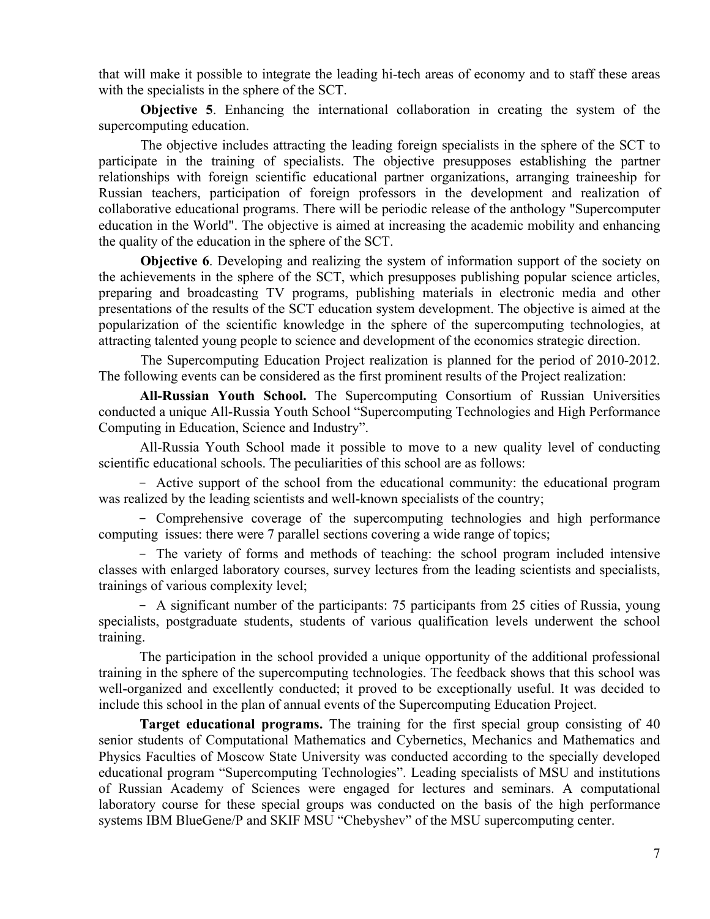that will make it possible to integrate the leading hi-tech areas of economy and to staff these areas with the specialists in the sphere of the SCT.

**Objective 5.** Enhancing the international collaboration in creating the system of the supercomputing education.

The objective includes attracting the leading foreign specialists in the sphere of the SCT to participate in the training of specialists. The objective presupposes establishing the partner relationships with foreign scientific educational partner organizations, arranging traineeship for Russian teachers, participation of foreign professors in the development and realization of collaborative educational programs. There will be periodic release of the anthology "Supercomputer education in the World". The objective is aimed at increasing the academic mobility and enhancing the quality of the education in the sphere of the SCT.

**Objective 6**. Developing and realizing the system of information support of the society on the achievements in the sphere of the SCT, which presupposes publishing popular science articles, preparing and broadcasting TV programs, publishing materials in electronic media and other presentations of the results of the SCT education system development. The objective is aimed at the popularization of the scientific knowledge in the sphere of the supercomputing technologies, at attracting talented young people to science and development of the economics strategic direction.

The Supercomputing Education Project realization is planned for the period of 2010-2012. The following events can be considered as the first prominent results of the Project realization:

**All-Russian Youth School.** The Supercomputing Consortium of Russian Universities conducted a unique All-Russia Youth School "Supercomputing Technologies and High Performance Computing in Education, Science and Industry".

All-Russia Youth School made it possible to move to a new quality level of conducting scientific educational schools. The peculiarities of this school are as follows:

- Active support of the school from the educational community: the educational program was realized by the leading scientists and well-known specialists of the country;

- Comprehensive coverage of the supercomputing technologies and high performance computing issues: there were 7 parallel sections covering a wide range of topics;

- The variety of forms and methods of teaching: the school program included intensive classes with enlarged laboratory courses, survey lectures from the leading scientists and specialists, trainings of various complexity level;

- A significant number of the participants: 75 participants from 25 cities of Russia, young specialists, postgraduate students, students of various qualification levels underwent the school training.

The participation in the school provided a unique opportunity of the additional professional training in the sphere of the supercomputing technologies. The feedback shows that this school was well-organized and excellently conducted; it proved to be exceptionally useful. It was decided to include this school in the plan of annual events of the Supercomputing Education Project.

**Target educational programs.** The training for the first special group consisting of 40 senior students of Computational Mathematics and Cybernetics, Mechanics and Mathematics and Physics Faculties of Moscow State University was conducted according to the specially developed educational program "Supercomputing Technologies". Leading specialists of MSU and institutions of Russian Academy of Sciences were engaged for lectures and seminars. A computational laboratory course for these special groups was conducted on the basis of the high performance systems IBM BlueGene/P and SKIF MSU "Chebyshev" of the MSU supercomputing center.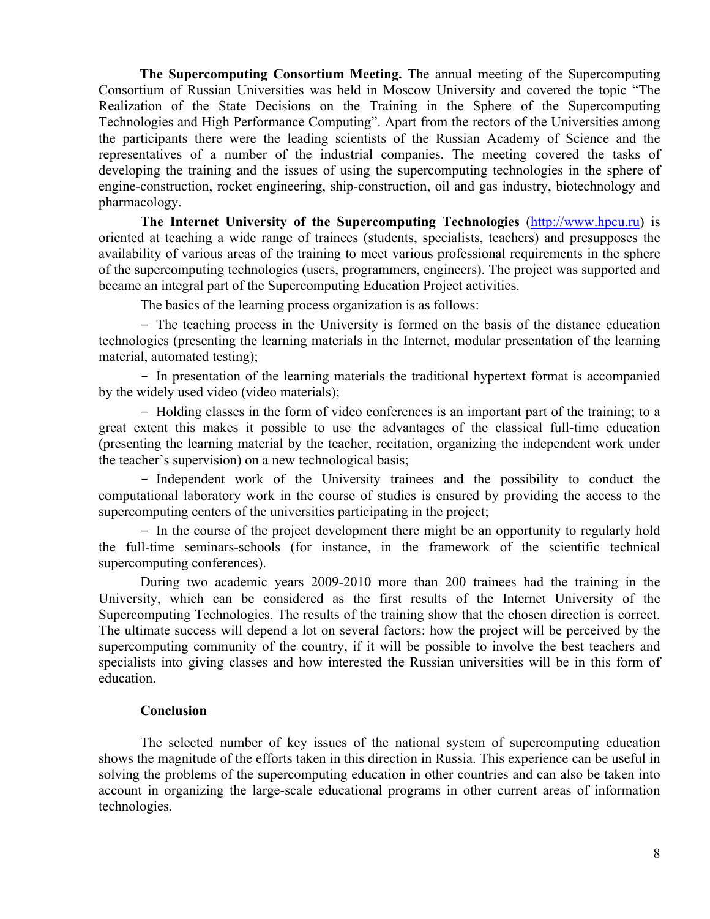**The Supercomputing Consortium Meeting.** The annual meeting of the Supercomputing Consortium of Russian Universities was held in Moscow University and covered the topic "The Realization of the State Decisions on the Training in the Sphere of the Supercomputing Technologies and High Performance Computing". Apart from the rectors of the Universities among the participants there were the leading scientists of the Russian Academy of Science and the representatives of a number of the industrial companies. The meeting covered the tasks of developing the training and the issues of using the supercomputing technologies in the sphere of engine-construction, rocket engineering, ship-construction, oil and gas industry, biotechnology and pharmacology.

**The Internet University of the Supercomputing Technologies** (http://www.hpcu.ru) is oriented at teaching a wide range of trainees (students, specialists, teachers) and presupposes the availability of various areas of the training to meet various professional requirements in the sphere of the supercomputing technologies (users, programmers, engineers). The project was supported and became an integral part of the Supercomputing Education Project activities.

The basics of the learning process organization is as follows:

- The teaching process in the University is formed on the basis of the distance education technologies (presenting the learning materials in the Internet, modular presentation of the learning material, automated testing);

- In presentation of the learning materials the traditional hypertext format is accompanied by the widely used video (video materials);

- Holding classes in the form of video conferences is an important part of the training; to a great extent this makes it possible to use the advantages of the classical full-time education (presenting the learning material by the teacher, recitation, organizing the independent work under the teacher's supervision) on a new technological basis;

- Independent work of the University trainees and the possibility to conduct the computational laboratory work in the course of studies is ensured by providing the access to the supercomputing centers of the universities participating in the project;

- In the course of the project development there might be an opportunity to regularly hold the full-time seminars-schools (for instance, in the framework of the scientific technical supercomputing conferences).

During two academic years 2009-2010 more than 200 trainees had the training in the University, which can be considered as the first results of the Internet University of the Supercomputing Technologies. The results of the training show that the chosen direction is correct. The ultimate success will depend a lot on several factors: how the project will be perceived by the supercomputing community of the country, if it will be possible to involve the best teachers and specialists into giving classes and how interested the Russian universities will be in this form of education.

### **Conclusion**

The selected number of key issues of the national system of supercomputing education shows the magnitude of the efforts taken in this direction in Russia. This experience can be useful in solving the problems of the supercomputing education in other countries and can also be taken into account in organizing the large-scale educational programs in other current areas of information technologies.